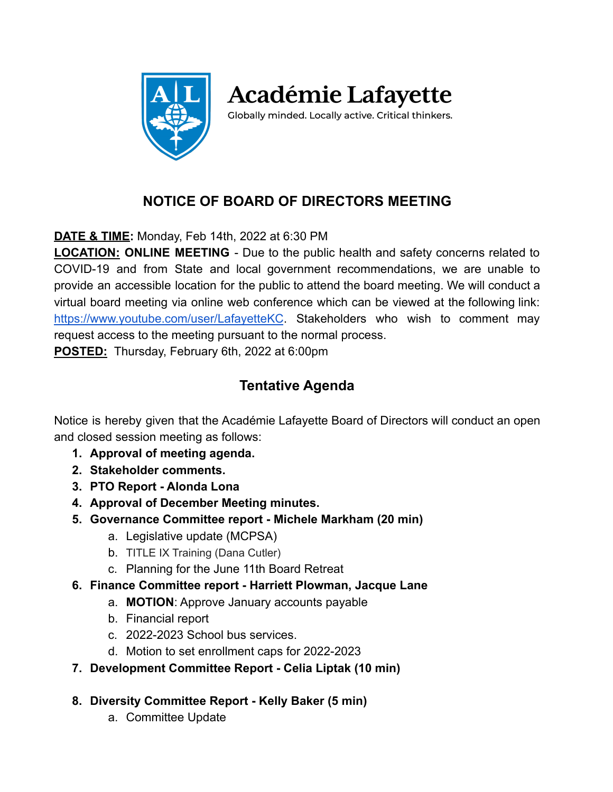

**Académie Lafayette** 

Globally minded. Locally active. Critical thinkers.

# **NOTICE OF BOARD OF DIRECTORS MEETING**

**DATE & TIME:** Monday, Feb 14th, 2022 at 6:30 PM

**LOCATION: ONLINE MEETING** - Due to the public health and safety concerns related to COVID-19 and from State and local government recommendations, we are unable to provide an accessible location for the public to attend the board meeting. We will conduct a virtual board meeting via online web conference which can be viewed at the following link: <https://www.youtube.com/user/LafayetteKC>. Stakeholders who wish to comment may request access to the meeting pursuant to the normal process.

**POSTED:** Thursday, February 6th, 2022 at 6:00pm

## **Tentative Agenda**

Notice is hereby given that the Académie Lafayette Board of Directors will conduct an open and closed session meeting as follows:

- **1. Approval of meeting agenda.**
- **2. Stakeholder comments.**
- **3. PTO Report Alonda Lona**
- **4. Approval of December Meeting minutes.**
- **5. Governance Committee report Michele Markham (20 min)**
	- a. Legislative update (MCPSA)
	- b. TITLE IX Training (Dana Cutler)
	- c. Planning for the June 11th Board Retreat
- **6. Finance Committee report Harriett Plowman, Jacque Lane**
	- a. **MOTION**: Approve January accounts payable
	- b. Financial report
	- c. 2022-2023 School bus services.
	- d. Motion to set enrollment caps for 2022-2023
- **7. Development Committee Report Celia Liptak (10 min)**
- **8. Diversity Committee Report Kelly Baker (5 min)**
	- a. Committee Update